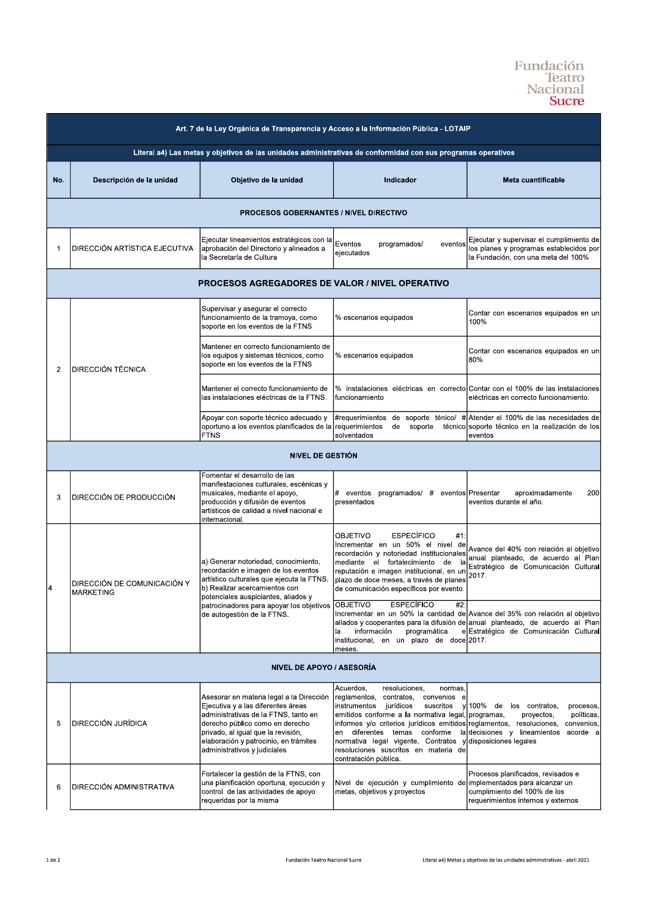## Fundación<br>Teatro<br>Nacional<br>**Sucre**

| Art. 7 de la Ley Orgánica de Transparencia y Acceso a la Información Pública - LOTAIP                         |                                                 |                                                                                                                                                                                                                                                                            |                                                                                                                                                                                                                                                                                                                                                                                                                     |                                                                                                                                                                                                         |  |  |  |
|---------------------------------------------------------------------------------------------------------------|-------------------------------------------------|----------------------------------------------------------------------------------------------------------------------------------------------------------------------------------------------------------------------------------------------------------------------------|---------------------------------------------------------------------------------------------------------------------------------------------------------------------------------------------------------------------------------------------------------------------------------------------------------------------------------------------------------------------------------------------------------------------|---------------------------------------------------------------------------------------------------------------------------------------------------------------------------------------------------------|--|--|--|
| Literal a4) Las metas y objetivos de las unidades administrativas de conformidad con sus programas operativos |                                                 |                                                                                                                                                                                                                                                                            |                                                                                                                                                                                                                                                                                                                                                                                                                     |                                                                                                                                                                                                         |  |  |  |
| No.                                                                                                           | Descripción de la unidad                        | Objetivo de la unidad                                                                                                                                                                                                                                                      | Indicador                                                                                                                                                                                                                                                                                                                                                                                                           | Meta cuantificable                                                                                                                                                                                      |  |  |  |
| <b>PROCESOS GOBERNANTES / NIVEL DIRECTIVO</b>                                                                 |                                                 |                                                                                                                                                                                                                                                                            |                                                                                                                                                                                                                                                                                                                                                                                                                     |                                                                                                                                                                                                         |  |  |  |
| 1                                                                                                             | DIRECCIÓN ARTÍSTICA EJECUTIVA                   | Ejecutar lineamientos estratégicos con la<br>aprobación del Directorio y alineados a<br>la Secretaría de Cultura                                                                                                                                                           | Eventos<br>programados/<br>eventos<br>ejecutados                                                                                                                                                                                                                                                                                                                                                                    | Ejecutar y supervisar el cumplimiento de<br>los planes y programas establecidos por<br>la Fundación, con una meta del 100%                                                                              |  |  |  |
| <b>PROCESOS AGREGADORES DE VALOR / NIVEL OPERATIVO</b>                                                        |                                                 |                                                                                                                                                                                                                                                                            |                                                                                                                                                                                                                                                                                                                                                                                                                     |                                                                                                                                                                                                         |  |  |  |
| $\overline{2}$                                                                                                | DIRECCIÓN TÉCNICA                               | Supervisar y asegurar el correcto<br>funcionamiento de la tramoya, como<br>soporte en los eventos de la FTNS                                                                                                                                                               | % escenarios equipados                                                                                                                                                                                                                                                                                                                                                                                              | Contar con escenarios equipados en un<br>100%                                                                                                                                                           |  |  |  |
|                                                                                                               |                                                 | Mantener en correcto funcionamiento de<br>los equipos y sistemas técnicos, como<br>soporte en los eventos de la FTNS                                                                                                                                                       | % escenarios equipados                                                                                                                                                                                                                                                                                                                                                                                              | Contar con escenarios equipados en un<br>80%                                                                                                                                                            |  |  |  |
|                                                                                                               |                                                 | Mantener el correcto funcionamiento de<br>las instalaciones eléctricas de la FTNS.                                                                                                                                                                                         | funcionamiento                                                                                                                                                                                                                                                                                                                                                                                                      | % instalaciones eléctricas en correcto Contar con el 100% de las instalaciones<br>eléctricas en correcto funcionamiento.                                                                                |  |  |  |
|                                                                                                               |                                                 | Apoyar con soporte técnico adecuado y<br>oportuno a los eventos planificados de la requerimientos<br><b>FTNS</b>                                                                                                                                                           | #requerimientos<br>de<br>soporte<br>solventados                                                                                                                                                                                                                                                                                                                                                                     | de soporte ténico/ # Atender el 100% de las necesidades de<br>técnico soporte técnico en la realización de los<br>eventos                                                                               |  |  |  |
| NIVEL DE GESTIÓN                                                                                              |                                                 |                                                                                                                                                                                                                                                                            |                                                                                                                                                                                                                                                                                                                                                                                                                     |                                                                                                                                                                                                         |  |  |  |
| 3                                                                                                             | DIRECCIÓN DE PRODUCCIÓN                         | Fomentar el desarrollo de las<br>manifestaciones culturales, escénicas y<br>musicales, mediante el apoyo,<br>producción y difusión de eventos<br>artísticos de calidad a nivel nacional e<br>internacional.                                                                | # eventos programados/ # eventos Presentar<br>presentados                                                                                                                                                                                                                                                                                                                                                           | 200<br>aproximadamente<br>eventos durante el año.                                                                                                                                                       |  |  |  |
| 14                                                                                                            | DIRECCIÓN DE COMUNICACIÓN Y<br><b>MARKETING</b> | a) Generar notoriedad, conocimiento,<br>recordación e imagen de los eventos<br>artístico culturales que ejecuta la FTNS.<br>b) Realizar acercamientos con<br>potenciales auspiciantes, aliados y<br>patrocinadores para apoyar los objetivos<br>de autogestión de la FTNS. | <b>ESPECÍFICO</b><br>OBJETIVO<br>#1<br>Incrementar en un 50% el nivel de<br>recordación y notoriedad institucionales<br>mediante el fortalecimiento de<br>Ιa<br>reputación e imagen institucional, en ur<br>plazo de doce meses, a través de planes<br>de comunicación específicos por evento.                                                                                                                      | Avance del 40% con relación al objetivo<br>anual planteado, de acuerdo al Plan<br>Estratégico de Comunicación Cultural<br>2017.                                                                         |  |  |  |
|                                                                                                               |                                                 |                                                                                                                                                                                                                                                                            | OBJETIVO<br><b>ESPECÍFICO</b><br>#2:<br>información<br>programática<br>la<br>institucional, en un plazo de doce 2017.<br>meses.                                                                                                                                                                                                                                                                                     | Incrementar en un 50% la cantidad de Avance del 35% con relación al objetivo<br>aliados y cooperantes para la difusión de anual planteado, de acuerdo al Plan<br>e Estratégico de Comunicación Cultural |  |  |  |
|                                                                                                               | NIVEL DE APOYO / ASESORÍA                       |                                                                                                                                                                                                                                                                            |                                                                                                                                                                                                                                                                                                                                                                                                                     |                                                                                                                                                                                                         |  |  |  |
| 5                                                                                                             | <b>DIRECCIÓN JURÍDICA</b>                       | Asesorar en materia legal a la Dirección<br>Ejecutiva y a las diferentes áreas<br>administrativas de la FTNS, tanto en<br>derecho público como en derecho<br>privado, al igual que la revisión,<br>elaboración y patrocinio, en trámites<br>administrativos y judiciales   | Acuerdos,<br>resoluciones,<br>normas,<br>reglamentos, contratos,<br>convenios e<br>instrumentos jurídicos<br>suscritos<br>emitidos conforme a la normativa legal, programas,<br>informes y/o criterios jurídicos emitidos reglamentos, resoluciones,<br>en diferentes temas conforme<br>normativa legal vigente. Contratos y disposiciones legales<br>resoluciones suscritos en materia de<br>contratación pública. | y 100% de los contratos,<br>procesos,<br>proyectos,<br>políticas,<br>convenios,<br>la decisiones y lineamientos acorde a                                                                                |  |  |  |
| 6                                                                                                             | DIRECCIÓN ADMINISTRATIVA                        | Fortalecer la gestión de la FTNS, con<br>una planificación oportuna, ejecución y<br>control de las actividades de apoyo<br>requeridas por la misma                                                                                                                         | Nivel de ejecución y cumplimiento de implementados para alcanzar un<br>metas, objetivos y proyectos                                                                                                                                                                                                                                                                                                                 | Procesos planificados, revisados e<br>cumplimiento del 100% de los<br>requerimientos internos y externos                                                                                                |  |  |  |